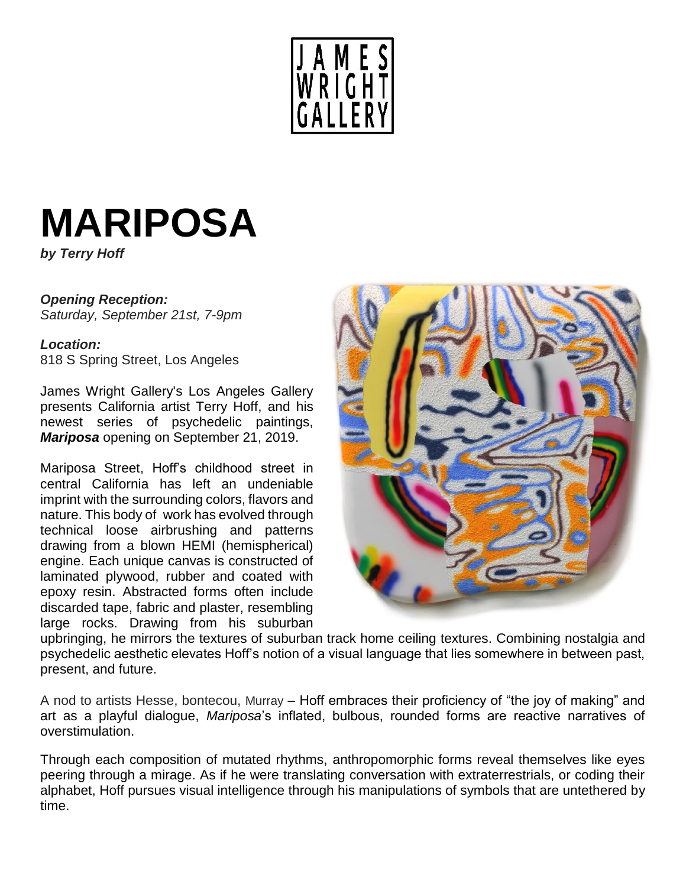

# **MARIPOSA**

*by Terry Hoff*

## *Opening Reception: Saturday, September 21st, 7-9pm*

#### *Location:*

818 S Spring Street, Los Angeles

James Wright Gallery's Los Angeles Gallery presents California artist Terry Hoff, and his newest series of psychedelic paintings, *Mariposa* opening on September 21, 2019.

Mariposa Street, Hoff's childhood street in central California has left an undeniable imprint with the surrounding colors, flavors and nature. This body of work has evolved through technical loose airbrushing and patterns drawing from a blown HEMI (hemispherical) engine. Each unique canvas is constructed of laminated plywood, rubber and coated with epoxy resin. Abstracted forms often include discarded tape, fabric and plaster, resembling large rocks. Drawing from his suburban



upbringing, he mirrors the textures of suburban track home ceiling textures. Combining nostalgia and psychedelic aesthetic elevates Hoff's notion of a visual language that lies somewhere in between past, present, and future.

A nod to artists Hesse, bontecou, Murray – Hoff embraces their proficiency of "the joy of making" and art as a playful dialogue, *Mariposa*'s inflated, bulbous, rounded forms are reactive narratives of overstimulation.

Through each composition of mutated rhythms, anthropomorphic forms reveal themselves like eyes peering through a mirage. As if he were translating conversation with extraterrestrials, or coding their alphabet, Hoff pursues visual intelligence through his manipulations of symbols that are untethered by time.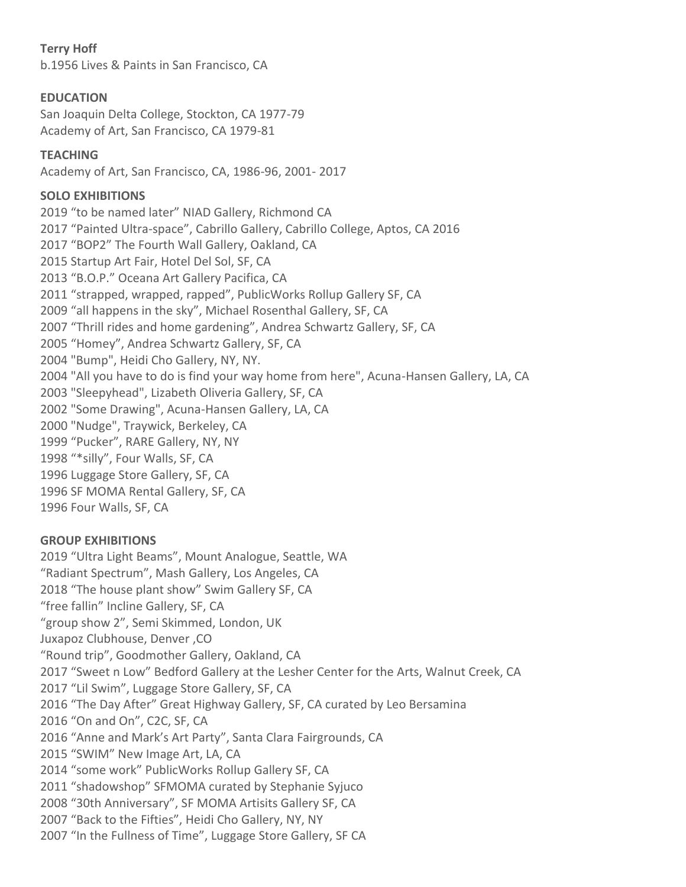## **Terry Hoff**

b.1956 Lives & Paints in San Francisco, CA

## **EDUCATION**

San Joaquin Delta College, Stockton, CA 1977-79 Academy of Art, San Francisco, CA 1979-81

#### **TEACHING**

Academy of Art, San Francisco, CA, 1986-96, 2001- 2017

## **SOLO EXHIBITIONS**

2019 "to be named later" NIAD Gallery, Richmond CA 2017 "Painted Ultra-space", Cabrillo Gallery, Cabrillo College, Aptos, CA 2016 2017 "BOP2" The Fourth Wall Gallery, Oakland, CA 2015 Startup Art Fair, Hotel Del Sol, SF, CA 2013 "B.O.P." Oceana Art Gallery Pacifica, CA 2011 "strapped, wrapped, rapped", PublicWorks Rollup Gallery SF, CA 2009 "all happens in the sky", Michael Rosenthal Gallery, SF, CA 2007 "Thrill rides and home gardening", Andrea Schwartz Gallery, SF, CA 2005 "Homey", Andrea Schwartz Gallery, SF, CA 2004 "Bump", Heidi Cho Gallery, NY, NY. 2004 "All you have to do is find your way home from here", Acuna-Hansen Gallery, LA, CA 2003 "Sleepyhead", Lizabeth Oliveria Gallery, SF, CA 2002 "Some Drawing", Acuna-Hansen Gallery, LA, CA 2000 "Nudge", Traywick, Berkeley, CA 1999 "Pucker", RARE Gallery, NY, NY 1998 "\*silly", Four Walls, SF, CA 1996 Luggage Store Gallery, SF, CA 1996 SF MOMA Rental Gallery, SF, CA 1996 Four Walls, SF, CA

#### **GROUP EXHIBITIONS**

2019 "Ultra Light Beams", Mount Analogue, Seattle, WA "Radiant Spectrum", Mash Gallery, Los Angeles, CA 2018 "The house plant show" Swim Gallery SF, CA "free fallin" Incline Gallery, SF, CA "group show 2", Semi Skimmed, London, UK Juxapoz Clubhouse, Denver ,CO "Round trip", Goodmother Gallery, Oakland, CA 2017 "Sweet n Low" Bedford Gallery at the Lesher Center for the Arts, Walnut Creek, CA 2017 "Lil Swim", Luggage Store Gallery, SF, CA 2016 "The Day After" Great Highway Gallery, SF, CA curated by Leo Bersamina 2016 "On and On", C2C, SF, CA 2016 "Anne and Mark's Art Party", Santa Clara Fairgrounds, CA 2015 "SWIM" New Image Art, LA, CA 2014 "some work" PublicWorks Rollup Gallery SF, CA 2011 "shadowshop" SFMOMA curated by Stephanie Syjuco 2008 "30th Anniversary", SF MOMA Artisits Gallery SF, CA 2007 "Back to the Fifties", Heidi Cho Gallery, NY, NY 2007 "In the Fullness of Time", Luggage Store Gallery, SF CA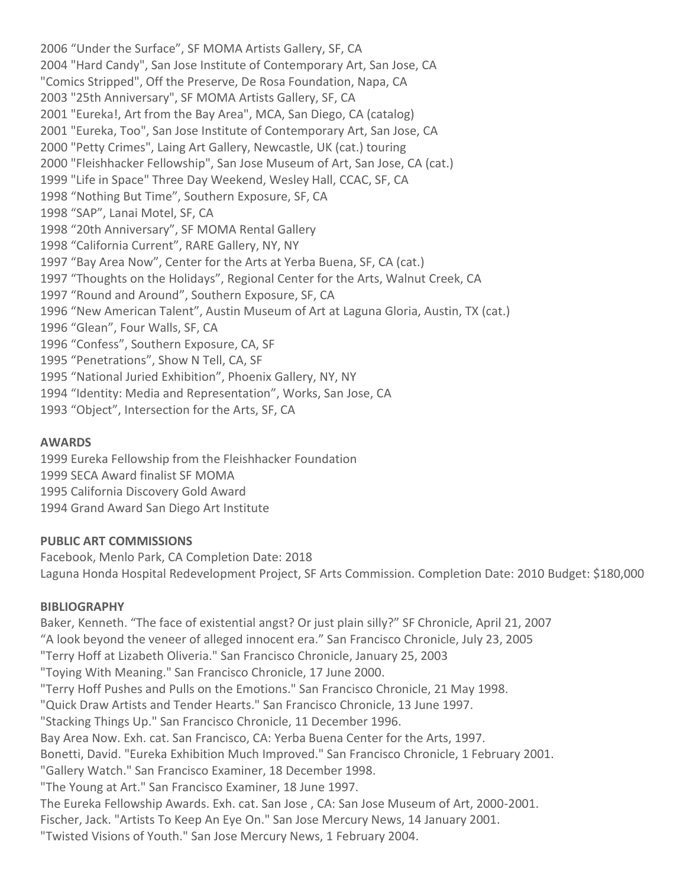2006 "Under the Surface", SF MOMA Artists Gallery, SF, CA 2004 "Hard Candy", San Jose Institute of Contemporary Art, San Jose, CA "Comics Stripped", Off the Preserve, De Rosa Foundation, Napa, CA 2003 "25th Anniversary", SF MOMA Artists Gallery, SF, CA 2001 "Eureka!, Art from the Bay Area", MCA, San Diego, CA (catalog) 2001 "Eureka, Too", San Jose Institute of Contemporary Art, San Jose, CA 2000 "Petty Crimes", Laing Art Gallery, Newcastle, UK (cat.) touring 2000 "Fleishhacker Fellowship", San Jose Museum of Art, San Jose, CA (cat.) 1999 "Life in Space" Three Day Weekend, Wesley Hall, CCAC, SF, CA 1998 "Nothing But Time", Southern Exposure, SF, CA 1998 "SAP", Lanai Motel, SF, CA 1998 "20th Anniversary", SF MOMA Rental Gallery 1998 "California Current", RARE Gallery, NY, NY 1997 "Bay Area Now", Center for the Arts at Yerba Buena, SF, CA (cat.) 1997 "Thoughts on the Holidays", Regional Center for the Arts, Walnut Creek, CA 1997 "Round and Around", Southern Exposure, SF, CA 1996 "New American Talent", Austin Museum of Art at Laguna Gloria, Austin, TX (cat.) 1996 "Glean", Four Walls, SF, CA 1996 "Confess", Southern Exposure, CA, SF 1995 "Penetrations", Show N Tell, CA, SF 1995 "National Juried Exhibition", Phoenix Gallery, NY, NY 1994 "Identity: Media and Representation", Works, San Jose, CA 1993 "Object", Intersection for the Arts, SF, CA

#### **AWARDS**

1999 Eureka Fellowship from the Fleishhacker Foundation 1999 SECA Award finalist SF MOMA 1995 California Discovery Gold Award 1994 Grand Award San Diego Art Institute

#### **PUBLIC ART COMMISSIONS**

Facebook, Menlo Park, CA Completion Date: 2018 Laguna Honda Hospital Redevelopment Project, SF Arts Commission. Completion Date: 2010 Budget: \$180,000

#### **BIBLIOGRAPHY**

Baker, Kenneth. "The face of existential angst? Or just plain silly?" SF Chronicle, April 21, 2007 "A look beyond the veneer of alleged innocent era." San Francisco Chronicle, July 23, 2005 "Terry Hoff at Lizabeth Oliveria." San Francisco Chronicle, January 25, 2003 "Toying With Meaning." San Francisco Chronicle, 17 June 2000. "Terry Hoff Pushes and Pulls on the Emotions." San Francisco Chronicle, 21 May 1998. "Quick Draw Artists and Tender Hearts." San Francisco Chronicle, 13 June 1997. "Stacking Things Up." San Francisco Chronicle, 11 December 1996. Bay Area Now. Exh. cat. San Francisco, CA: Yerba Buena Center for the Arts, 1997. Bonetti, David. "Eureka Exhibition Much Improved." San Francisco Chronicle, 1 February 2001. "Gallery Watch." San Francisco Examiner, 18 December 1998. "The Young at Art." San Francisco Examiner, 18 June 1997. The Eureka Fellowship Awards. Exh. cat. San Jose , CA: San Jose Museum of Art, 2000-2001. Fischer, Jack. "Artists To Keep An Eye On." San Jose Mercury News, 14 January 2001. "Twisted Visions of Youth." San Jose Mercury News, 1 February 2004.